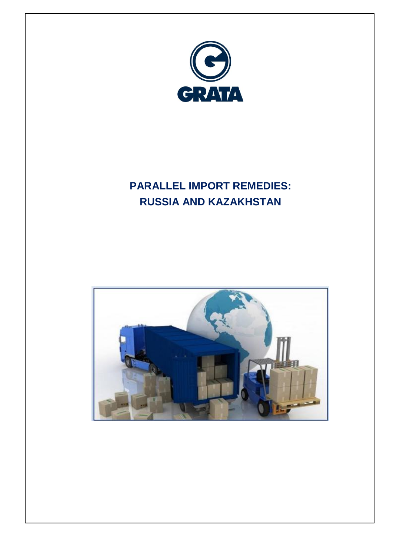

# **PARALLEL IMPORT REMEDIES: RUSSIA AND KAZAKHSTAN**

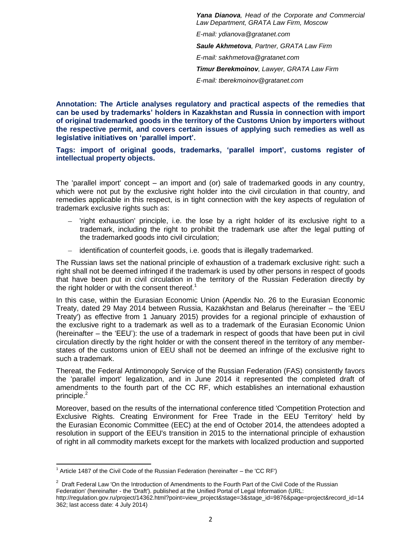*Yana Dianova, Head of the Corporate and Commercial Law Department, GRATA Law Firm, Moscow E-mail: ydianova@gratanet.com Saule Akhmetova, Partner, GRATA Law Firm E-mail: sakhmetova@gratanet.com Timur Berekmoinov, Lawyer, GRATA Law Firm E-mail: tberekmoinov@gratanet.com*

**Annotation: The Article analyses regulatory and practical aspects of the remedies that can be used by trademarks' holders in Kazakhstan and Russia in connection with import of original trademarked goods in the territory of the Customs Union by importers without the respective permit, and covers certain issues of applying such remedies as well as legislative initiatives on 'parallel import'.** 

**Tags: import of original goods, trademarks, 'parallel import', customs register of intellectual property objects.** 

The 'parallel import' concept – an import and (or) sale of trademarked goods in any country, which were not put by the exclusive right holder into the civil circulation in that country, and remedies applicable in this respect, is in tight connection with the key aspects of regulation of trademark exclusive rights such as:

- 'right exhaustion' principle, i.e. the lose by a right holder of its exclusive right to a trademark, including the right to prohibit the trademark use after the legal putting of the trademarked goods into civil circulation;
- identification of counterfeit goods, i.e. goods that is illegally trademarked.

The Russian laws set the national principle of exhaustion of a trademark exclusive right: such a right shall not be deemed infringed if the trademark is used by other persons in respect of goods that have been put in civil circulation in the territory of the Russian Federation directly by the right holder or with the consent thereof.<sup>1</sup>

In this case, within the Eurasian Economic Union (Apendix No. 26 to the Eurasian Economic Treaty, dated 29 May 2014 between Russia, Kazakhstan and Belarus (hereinafter – the 'EEU Treaty') as effective from 1 January 2015) provides for a regional principle of exhaustion of the exclusive right to a trademark as well as to a trademark of the Eurasian Economic Union (hereinafter – the 'EEU'): the use of a trademark in respect of goods that have been put in civil circulation directly by the right holder or with the consent thereof in the territory of any memberstates of the customs union of EEU shall not be deemed an infringe of the exclusive right to such a trademark.

Thereat, the Federal Antimonopoly Service of the Russian Federation (FAS) consistently favors the 'parallel import' legalization, and in June 2014 it represented the completed draft of amendments to the fourth part of the CC RF, which establishes an international exhaustion principle.<sup>2</sup>

Moreover, based on the results of the international conference titled 'Competition Protection and Exclusive Rights. Creating Environment for Free Trade in the EEU Territory' held by the Eurasian Economic Committee (EEC) at the end of October 2014, the attendees adopted a resolution in support of the EEU's transition in 2015 to the international principle of exhaustion of right in all commodity markets except for the markets with localized production and supported

 $\overline{a}$ 

 $1$  Article 1487 of the Civil Code of the Russian Federation (hereinafter – the 'CC RF')

<sup>&</sup>lt;sup>2</sup> Draft Federal Law 'On the Introduction of Amendments to the Fourth Part of the Civil Code of the Russian Federation' (hereinafter - the 'Draft'). published at the Unified Portal of Legal Information (URL: http://regulation.gov.ru/project/14362.html?point=view\_project&stage=3&stage\_id=9876&page=project&record\_id=14

<sup>362;</sup> last access date: 4 July 2014)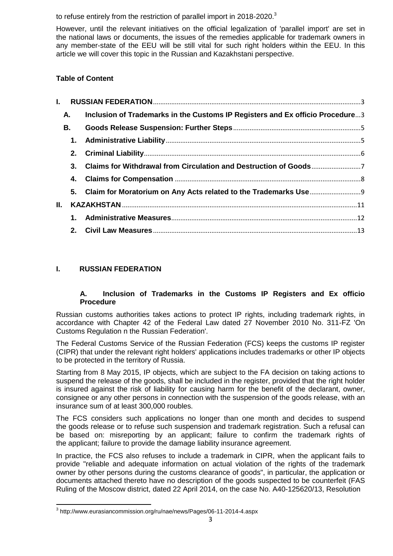to refuse entirely from the restriction of parallel import in 2018-2020.<sup>3</sup>

However, until the relevant initiatives on the official legalization of 'parallel import' are set in the national laws or documents, the issues of the remedies applicable for trademark owners in any member-state of the EEU will be still vital for such right holders within the EEU. In this article we will cover this topic in the Russian and Kazakhstani perspective.

# **Table of Content**

| $\mathbf{L}$ |           |                                                                               |  |
|--------------|-----------|-------------------------------------------------------------------------------|--|
|              | A.        | Inclusion of Trademarks in the Customs IP Registers and Ex officio Procedure3 |  |
|              | <b>B.</b> |                                                                               |  |
|              |           |                                                                               |  |
|              |           |                                                                               |  |
|              |           | 3. Claims for Withdrawal from Circulation and Destruction of Goods            |  |
|              |           |                                                                               |  |
|              |           |                                                                               |  |
| II.          |           |                                                                               |  |
|              |           |                                                                               |  |
|              |           |                                                                               |  |

# <span id="page-2-1"></span><span id="page-2-0"></span>**I. RUSSIAN FEDERATION**

## **A. Inclusion of Trademarks in the Customs IP Registers and Ex officio Procedure**

Russian customs authorities takes actions to protect IP rights, including trademark rights, in accordance with Chapter 42 of the Federal Law dated 27 November 2010 No. 311-FZ 'On Customs Regulation n the Russian Federation'.

The Federal Customs Service of the Russian Federation (FCS) keeps the customs IP register (CIPR) that under the relevant right holders' applications includes trademarks or other IP objects to be protected in the territory of Russia.

Starting from 8 May 2015, IP objects, which are subject to the FA decision on taking actions to suspend the release of the goods, shall be included in the register, provided that the right holder is insured against the risk of liability for causing harm for the benefit of the declarant, owner, consignee or any other persons in connection with the suspension of the goods release, with an insurance sum of at least 300,000 roubles.

The FCS considers such applications no longer than one month and decides to suspend the goods release or to refuse such suspension and trademark registration. Such a refusal can be based on: misreporting by an applicant; failure to confirm the trademark rights of the applicant; failure to provide the damage liability insurance agreement.

In practice, the FCS also refuses to include a trademark in CIPR, when the applicant fails to provide "reliable and adequate information on actual violation of the rights of the trademark owner by other persons during the customs clearance of goods", in particular, the application or documents attached thereto have no description of the goods suspected to be counterfeit (FAS Ruling of the Moscow district, dated 22 April 2014, on the case No. A40-125620/13, Resolution

 3 http://www.eurasiancommission.org/ru/nae/news/Pages/06-11-2014-4.aspx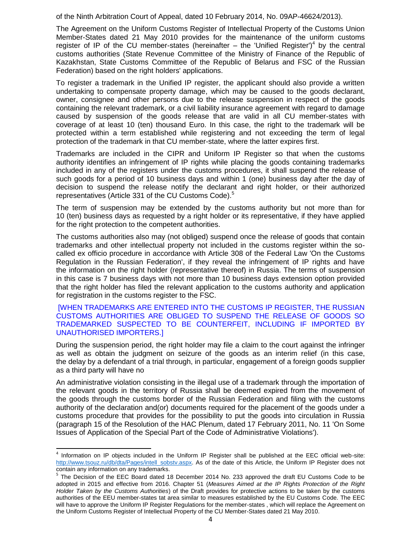of the Ninth Arbitration Court of Appeal, dated 10 February 2014, No. 09AP-46624/2013).

The Agreement on the Uniform Customs Register of Intellectual Property of the Customs Union Member-States dated 21 May 2010 provides for the maintenance of the uniform customs register of IP of the CU member-states (hereinafter  $-$  the 'Unified Register')<sup>4</sup> by the central customs authorities (State Revenue Committee of the Ministry of Finance of the Republic of Kazakhstan, State Customs Committee of the Republic of Belarus and FSC of the Russian Federation) based on the right holders' applications.

To register a trademark in the Unified IP register, the applicant should also provide a written undertaking to compensate property damage, which may be caused to the goods declarant, owner, consignee and other persons due to the release suspension in respect of the goods containing the relevant trademark, or a civil liability insurance agreement with regard to damage caused by suspension of the goods release that are valid in all CU member-states with coverage of at least 10 (ten) thousand Euro. In this case, the right to the trademark will be protected within a term established while registering and not exceeding the term of legal protection of the trademark in that CU member-state, where the latter expires first.

Trademarks are included in the CIPR and Uniform IP Register so that when the customs authority identifies an infringement of IP rights while placing the goods containing trademarks included in any of the registers under the customs procedures, it shall suspend the release of such goods for a period of 10 business days and within 1 (one) business day after the day of decision to suspend the release notify the declarant and right holder, or their authorized representatives (Article 331 of the CU Customs Code).<sup>5</sup>

The term of suspension may be extended by the customs authority but not more than for 10 (ten) business days as requested by a right holder or its representative, if they have applied for the right protection to the competent authorities.

The customs authorities also may (not obliged) suspend once the release of goods that contain trademarks and other intellectual property not included in the customs register within the socalled ex officio procedure in accordance with Article 308 of the Federal Law 'On the Customs Regulation in the Russian Federation', if they reveal the infringement of IP rights and have the information on the right holder (representative thereof) in Russia. The terms of suspension in this case is 7 business days with not more than 10 business days extension option provided that the right holder has filed the relevant application to the customs authority and application for registration in the customs register to the FSC.

[WHEN TRADEMARKS ARE ENTERED INTO THE CUSTOMS IP REGISTER, THE RUSSIAN CUSTOMS AUTHORITIES ARE OBLIGED TO SUSPEND THE RELEASE OF GOODS SO TRADEMARKED SUSPECTED TO BE COUNTERFEIT, INCLUDING IF IMPORTED BY UNAUTHORISED IMPORTERS.]

During the suspension period, the right holder may file a claim to the court against the infringer as well as obtain the judgment on seizure of the goods as an interim relief (in this case, the delay by a defendant of a trial through, in particular, engagement of a foreign goods supplier as a third party will have no

An administrative violation consisting in the illegal use of a trademark through the importation of the relevant goods in the territory of Russia shall be deemed expired from the movement of the goods through the customs border of the Russian Federation and filing with the customs authority of the declaration and(or) documents required for the placement of the goods under a customs procedure that provides for the possibility to put the goods into circulation in Russia (paragraph 15 of the Resolution of the HAC Plenum, dated 17 February 2011, No. 11 'On Some Issues of Application of the Special Part of the Code of Administrative Violations').

 4 Information on IP objects included in the Uniform IP Register shall be published at the EEC official web-site: [http://www.tsouz.ru/db/dta/Pages/intell\\_sobstv.aspx.](http://www.tsouz.ru/db/dta/Pages/intell_sobstv.aspx) As of the date of this Article, the Uniform IP Register does not contain any information on any trademarks.

<sup>&</sup>lt;sup>5</sup> The Decision of the EEC Board dated 18 December 2014 No. 233 approved the draft EU Customs Code to be adopted in 2015 and effective from 2016. Chapter 51 (*Measures Aimed at the IP Rights Protection of the Right Holder Taken by the Customs Authorities*) of the Draft provides for protective actions to be taken by the customs authorities of the EEU member-states tat area similar to measures established by the EU Customs Code. The EEC will have to approve the Uniform IP Register Regulations for the member-states , which will replace the Agreement on the Uniform Customs Register of Intellectual Property of the CU Member-States dated 21 May 2010.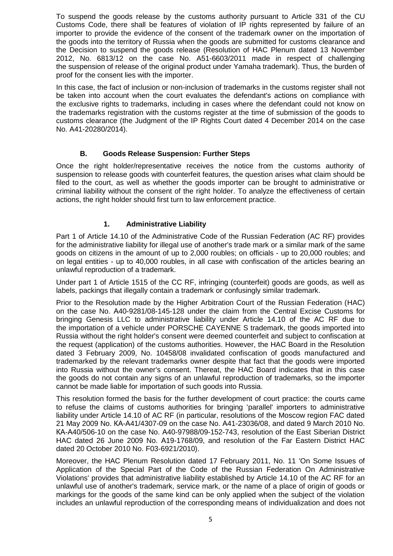To suspend the goods release by the customs authority pursuant to Article 331 of the CU Customs Code, there shall be features of violation of IP rights represented by failure of an importer to provide the evidence of the consent of the trademark owner on the importation of the goods into the territory of Russia when the goods are submitted for customs clearance and the Decision to suspend the goods release (Resolution of HAC Plenum dated 13 November 2012, No. 6813/12 on the case No. A51-6603/2011 made in respect of challenging the suspension of release of the original product under Yamaha trademark). Thus, the burden of proof for the consent lies with the importer.

In this case, the fact of inclusion or non-inclusion of trademarks in the customs register shall not be taken into account when the court evaluates the defendant's actions on compliance with the exclusive rights to trademarks, including in cases where the defendant could not know on the trademarks registration with the customs register at the time of submission of the goods to customs clearance (the Judgment of the IP Rights Court dated 4 December 2014 on the case No. A41-20280/2014).

#### **B. Goods Release Suspension: Further Steps**

<span id="page-4-0"></span>Once the right holder/representative receives the notice from the customs authority of suspension to release goods with counterfeit features, the question arises what claim should be filed to the court, as well as whether the goods importer can be brought to administrative or criminal liability without the consent of the right holder. To analyze the effectiveness of certain actions, the right holder should first turn to law enforcement practice.

## **1. Administrative Liability**

<span id="page-4-1"></span>Part 1 of Article 14.10 of the Administrative Code of the Russian Federation (AC RF) provides for the administrative liability for illegal use of another's trade mark or a similar mark of the same goods on citizens in the amount of up to 2,000 roubles; on officials - up to 20,000 roubles; and on legal entities - up to 40,000 roubles, in all case with confiscation of the articles bearing an unlawful reproduction of a trademark.

Under part 1 of Article 1515 of the CC RF, infringing (counterfeit) goods are goods, as well as labels, packings that illegally contain a trademark or confusingly similar trademark.

Prior to the Resolution made by the Higher Arbitration Court of the Russian Federation (HAC) on the case No. А40-9281/08-145-128 under the claim from the Central Excise Customs for bringing Genesis LLC to administrative liability under Article 14.10 of the AC RF due to the importation of a vehicle under PORSCHE CAYENNE S trademark, the goods imported into Russia without the right holder's consent were deemed counterfeit and subject to confiscation at the request (application) of the customs authorities. However, the HAC Board in the Resolution dated 3 February 2009, No. 10458/08 invalidated confiscation of goods manufactured and trademarked by the relevant trademarks owner despite that fact that the goods were imported into Russia without the owner's consent. Thereat, the HAC Board indicates that in this case the goods do not contain any signs of an unlawful reproduction of trademarks, so the importer cannot be made liable for importation of such goods into Russia.

This resolution formed the basis for the further development of court practice: the courts came to refuse the claims of customs authorities for bringing 'parallel' importers to administrative liability under Article 14.10 of AC RF (in particular, resolutions of the Moscow region FAC dated 21 May 2009 No. КА-А41/4307-09 on the case No. А41-23036/08, and dated 9 March 2010 No. КА-А40/506-10 on the case No. А40-97988/09-152-743, resolution of the East Siberian District HAC dated 26 June 2009 No. А19-1768/09, and resolution of the Far Eastern District HAC dated 20 October 2010 No. F03-6921/2010).

Moreover, the HAC Plenum Resolution dated 17 February 2011, No. 11 'On Some Issues of Application of the Special Part of the Code of the Russian Federation On Administrative Violations' provides that administrative liability established by Article 14.10 of the AC RF for an unlawful use of another's trademark, service mark, or the name of a place of origin of goods or markings for the goods of the same kind can be only applied when the subject of the violation includes an unlawful reproduction of the corresponding means of individualization and does not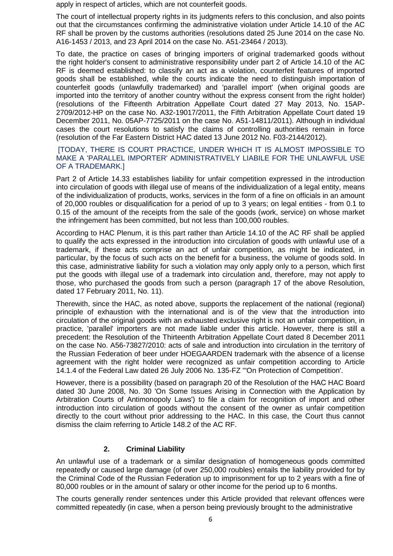apply in respect of articles, which are not counterfeit goods.

The court of intellectual property rights in its judgments refers to this conclusion, and also points out that the circumstances confirming the administrative violation under Article 14.10 of the AC RF shall be proven by the customs authorities (resolutions dated 25 June 2014 on the case No. A16-1453 / 2013, and 23 April 2014 on the case No. A51-23464 / 2013).

To date, the practice on cases of bringing importers of original trademarked goods without the right holder's consent to administrative responsibility under part 2 of Article 14.10 of the AC RF is deemed established: to classify an act as a violation, counterfeit features of imported goods shall be established, while the courts indicate the need to distinguish importation of counterfeit goods (unlawfully trademarked) and 'parallel import' (when original goods are imported into the territory of another country without the express consent from the right holder) (resolutions of the Fifteenth Arbitration Appellate Court dated 27 May 2013, No. 15AP-2709/2012-HP on the case No. A32-19017/2011, the Fifth Arbitration Appellate Court dated 19 December 2011, No. 05AP-7725/2011 on the case No. A51-14811/2011). Although in individual cases the court resolutions to satisfy the claims of controlling authorities remain in force (resolution of the Far Eastern District HAC dated 13 June 2012 No. F03-2144/2012).

#### [TODAY, THERE IS COURT PRACTICE, UNDER WHICH IT IS ALMOST IMPOSSIBLE TO MAKE A 'PARALLEL IMPORTER' ADMINISTRATIVELY LIABILE FOR THE UNLAWFUL USE OF A TRADEMARK.]

Part 2 of Article 14.33 establishes liability for unfair competition expressed in the introduction into circulation of goods with illegal use of means of the individualization of a legal entity, means of the individualization of products, works, services in the form of a fine on officials in an amount of 20,000 roubles or disqualification for a period of up to 3 years; on legal entities - from 0.1 to 0.15 of the amount of the receipts from the sale of the goods (work, service) on whose market the infringement has been committed, but not less than 100,000 roubles.

According to HAC Plenum, it is this part rather than Article 14.10 of the AC RF shall be applied to qualify the acts expressed in the introduction into circulation of goods with unlawful use of a trademark, if these acts comprise an act of unfair competition, as might be indicated, in particular, by the focus of such acts on the benefit for a business, the volume of goods sold. In this case, administrative liability for such a violation may only apply only to a person, which first put the goods with illegal use of a trademark into circulation and, therefore, may not apply to those, who purchased the goods from such a person (paragraph 17 of the above Resolution, dated 17 February 2011, No. 11).

Therewith, since the HAC, as noted above, supports the replacement of the national (regional) principle of exhaustion with the international and is of the view that the introduction into circulation of the original goods with an exhausted exclusive right is not an unfair competition, in practice, 'parallel' importers are not made liable under this article. However, there is still a precedent: the Resolution of the Thirteenth Arbitration Appellate Court dated 8 December 2011 on the case No. A56-73827/2010: acts of sale and introduction into circulation in the territory of the Russian Federation of beer under HOEGAARDEN trademark with the absence of a license agreement with the right holder were recognized as unfair competition according to Article 14.1.4 of the Federal Law dated 26 July 2006 No. 135-FZ '"On Protection of Competition'.

However, there is a possibility (based on paragraph 20 of the Resolution of the НАС HAC Board dated 30 June 2008, No. 30 'On Some Issues Arising in Connection with the Application by Arbitration Courts of Antimonopoly Laws') to file a claim for recognition of import and other introduction into circulation of goods without the consent of the owner as unfair competition directly to the court without prior addressing to the HAC. In this case, the Court thus cannot dismiss the claim referring to Article 148.2 of the AC RF.

## **2. Criminal Liability**

<span id="page-5-0"></span>An unlawful use of a trademark or a similar designation of homogeneous goods committed repeatedly or caused large damage (of over 250,000 roubles) entails the liability provided for by the Criminal Code of the Russian Federation up to imprisonment for up to 2 years with a fine of 80,000 roubles or in the amount of salary or other income for the period up to 6 months.

The courts generally render sentences under this Article provided that relevant offences were committed repeatedly (in case, when a person being previously brought to the administrative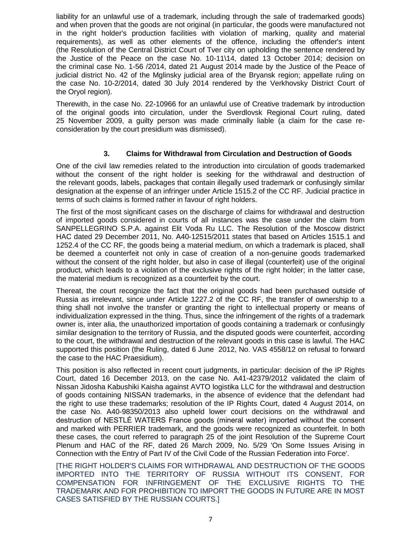liability for an unlawful use of a trademark, including through the sale of trademarked goods) and when proven that the goods are not original (in particular, the goods were manufactured not in the right holder's production facilities with violation of marking, quality and material requirements), as well as other elements of the offence, including the offender's intent (the Resolution of the Central District Court of Tver city on upholding the sentence rendered by the Justice of the Peace on the case No. 10-11\14, dated 13 October 2014; decision on the criminal case No. 1-56 /2014, dated 21 August 2014 made by the Justice of the Peace of judicial district No. 42 of the Mglinsky judicial area of the Bryansk region; appellate ruling on the case No. 10-2/2014, dated 30 July 2014 rendered by the Verkhovsky District Court of the Oryol region).

Therewith, in the case No. 22-10966 for an unlawful use of Creative trademark by introduction of the original goods into circulation, under the Sverdlovsk Regional Court ruling, dated 25 November 2009, a guilty person was made criminally liable (a claim for the case reconsideration by the court presidium was dismissed).

#### **3. Claims for Withdrawal from Circulation and Destruction of Goods**

<span id="page-6-0"></span>One of the civil law remedies related to the introduction into circulation of goods trademarked without the consent of the right holder is seeking for the withdrawal and destruction of the relevant goods, labels, packages that contain illegally used trademark or confusingly similar designation at the expense of an infringer under Article 1515.2 of the CC RF. Judicial practice in terms of such claims is formed rather in favour of right holders.

The first of the most significant cases on the discharge of claims for withdrawal and destruction of imported goods considered in courts of all instances was the case under the claim from SANPELLEGRINO S.P.A. against Elit Voda Ru LLC. The Resolution of the Moscow district HAC dated 29 December 2011, No. А40-12515/2011 states that based on Articles 1515.1 and 1252.4 of the CC RF, the goods being a material medium, on which a trademark is placed, shall be deemed a counterfeit not only in case of creation of a non-genuine goods trademarked without the consent of the right holder, but also in case of illegal (counterfeit) use of the original product, which leads to a violation of the exclusive rights of the right holder; in the latter case, the material medium is recognized as a counterfeit by the court.

Thereat, the court recognize the fact that the original goods had been purchased outside of Russia as irrelevant, since under Article 1227.2 of the CC RF, the transfer of ownership to a thing shall not involve the transfer or granting the right to intellectual property or means of individualization expressed in the thing. Thus, since the infringement of the rights of a trademark owner is, inter alia, the unauthorized importation of goods containing a trademark or confusingly similar designation to the territory of Russia, and the disputed goods were counterfeit, according to the court, the withdrawal and destruction of the relevant goods in this case is lawful. The HAC supported this position (the Ruling, dated 6 June 2012, No. VAS 4558/12 on refusal to forward the case to the HAC Praesidium).

This position is also reflected in recent court judgments, in particular: decision of the IP Rights Court, dated 16 December 2013, on the case No. A41-42379/2012 validated the claim of Nissan Jidosha Kabushiki Kaisha against AVTO logistika LLC for the withdrawal and destruction of goods containing NISSAN trademarks, in the absence of evidence that the defendant had the right to use these trademarks; resolution of the IP Rights Court, dated 4 August 2014, on the case No. A40-98350/2013 also upheld lower court decisions on the withdrawal and destruction of NESTLÉ WATERS France goods (mineral water) imported without the consent and marked with PERRIER trademark, and the goods were recognized as counterfeit. In both these cases, the court referred to paragraph 25 of the joint Resolution of the Supreme Court Plenum and HAC of the RF, dated 26 March 2009, No. 5/29 'On Some Issues Arising in Connection with the Entry of Part IV of the Civil Code of the Russian Federation into Force'.

[THE RIGHT HOLDER'S CLAIMS FOR WITHDRAWAL AND DESTRUCTION OF THE GOODS IMPORTED INTO THE TERRITORY OF RUSSIA WITHOUT ITS CONSENT, FOR COMPENSATION FOR INFRINGEMENT OF THE EXCLUSIVE RIGHTS TO THE TRADEMARK AND FOR PROHIBITION TO IMPORT THE GOODS IN FUTURE ARE IN MOST CASES SATISFIED BY THE RUSSIAN COURTS.]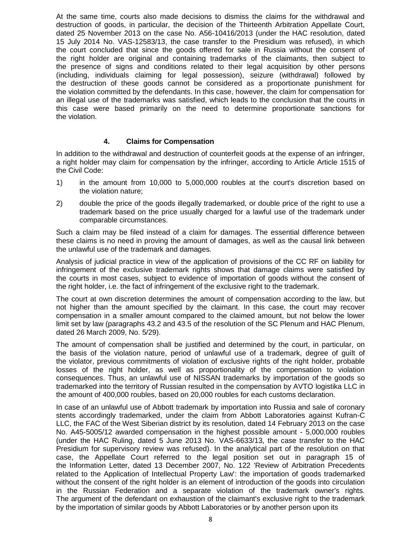At the same time, courts also made decisions to dismiss the claims for the withdrawal and destruction of goods, in particular, the decision of the Thirteenth Arbitration Appellate Court, dated 25 November 2013 on the case No. A56-10416/2013 (under the HAC resolution, dated 15 July 2014 No. VAS-12583/13, the case transfer to the Presidium was refused), in which the court concluded that since the goods offered for sale in Russia without the consent of the right holder are original and containing trademarks of the claimants, then subject to the presence of signs and conditions related to their legal acquisition by other persons (including, individuals claiming for legal possession), seizure (withdrawal) followed by the destruction of these goods cannot be considered as a proportionate punishment for the violation committed by the defendants. In this case, however, the claim for compensation for an illegal use of the trademarks was satisfied, which leads to the conclusion that the courts in this case were based primarily on the need to determine proportionate sanctions for the violation.

#### **4. Claims for Compensation**

<span id="page-7-0"></span>In addition to the withdrawal and destruction of counterfeit goods at the expense of an infringer, a right holder may claim for compensation by the infringer, according to Article Article 1515 of the Civil Code:

- 1) in the amount from 10,000 to 5,000,000 roubles at the court's discretion based on the violation nature;
- 2) double the price of the goods illegally trademarked, or double price of the right to use a trademark based on the price usually charged for a lawful use of the trademark under comparable circumstances.

Such a claim may be filed instead of a claim for damages. The essential difference between these claims is no need in proving the amount of damages, as well as the causal link between the unlawful use of the trademark and damages.

Analysis of judicial practice in view of the application of provisions of the CC RF on liability for infringement of the exclusive trademark rights shows that damage claims were satisfied by the courts in most cases, subject to evidence of importation of goods without the consent of the right holder, i.e. the fact of infringement of the exclusive right to the trademark.

The court at own discretion determines the amount of compensation according to the law, but not higher than the amount specified by the claimant. In this case, the court may recover compensation in a smaller amount compared to the claimed amount, but not below the lower limit set by law (paragraphs 43.2 and 43.5 of the resolution of the SC Plenum and HAC Plenum, dated 26 March 2009, No. 5/29).

The amount of compensation shall be justified and determined by the court, in particular, on the basis of the violation nature, period of unlawful use of a trademark, degree of guilt of the violator, previous commitments of violation of exclusive rights of the right holder, probable losses of the right holder, as well as proportionality of the compensation to violation consequences. Thus, an unlawful use of NISSAN trademarks by importation of the goods so trademarked into the territory of Russian resulted in the compensation by AVTO logistika LLC in the amount of 400,000 roubles, based on 20,000 roubles for each customs declaration.

In case of an unlawful use of Abbott trademark by importation into Russia and sale of coronary stents accordingly trademarked, under the claim from Abbott Laboratories against Kufran-C LLC, the FAC of the West Siberian district by its resolution, dated 14 February 2013 on the case No. A45-5005/12 awarded compensation in the highest possible amount - 5,000,000 roubles (under the HAC Ruling, dated 5 June 2013 No. VAS-6633/13, the case transfer to the HAC Presidium for supervisory review was refused). In the analytical part of the resolution on that case, the Appellate Court referred to the legal position set out in paragraph 15 of the Information Letter, dated 13 December 2007, No. 122 'Review of Arbitration Precedents related to the Application of Intellectual Property Law': the importation of goods trademarked without the consent of the right holder is an element of introduction of the goods into circulation in the Russian Federation and a separate violation of the trademark owner's rights. The argument of the defendant on exhaustion of the claimant's exclusive right to the trademark by the importation of similar goods by Abbott Laboratories or by another person upon its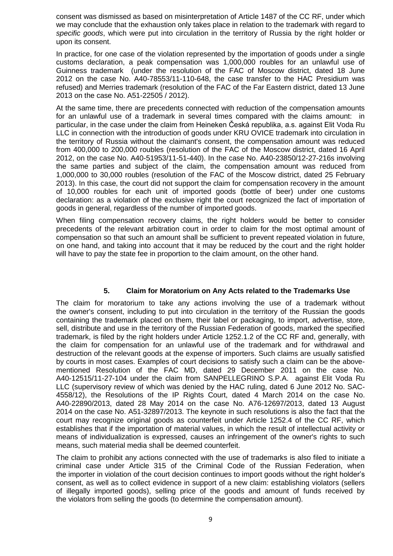consent was dismissed as based on misinterpretation of Article 1487 of the CC RF, under which we may conclude that the exhaustion only takes place in relation to the trademark with regard to *specific goods*, which were put into circulation in the territory of Russia by the right holder or upon its consent.

In practice, for one case of the violation represented by the importation of goods under a single customs declaration, a peak compensation was 1,000,000 roubles for an unlawful use of Guinness trademark (under the resolution of the FAC of Moscow district, dated 18 June 2012 on the case No. A40-78553/11-110-648, the case transfer to the HAC Presidium was refused) and Merries trademark (resolution of the FAC of the Far Eastern district, dated 13 June 2013 on the case No. A51-22505 / 2012).

At the same time, there are precedents connected with reduction of the compensation amounts for an unlawful use of a trademark in several times compared with the claims amount: in particular, in the case under the claim from Heineken Česká republika, a.s. against Elit Voda Ru LLC in connection with the introduction of goods under KRU OVICE trademark into circulation in the territory of Russia without the claimant's consent, the compensation amount was reduced from 400,000 to 200,000 roubles (resolution of the FAC of the Moscow district, dated 16 April 2012, on the case No. A40-51953/11-51-440). In the case No. A40-23850/12-27-216s involving the same parties and subject of the claim, the compensation amount was reduced from 1,000,000 to 30,000 roubles (resolution of the FAC of the Moscow district, dated 25 February 2013). In this case, the court did not support the claim for compensation recovery in the amount of 10,000 roubles for each unit of imported goods (bottle of beer) under one customs declaration: as a violation of the exclusive right the court recognized the fact of importation of goods in general, regardless of the number of imported goods.

When filing compensation recovery claims, the right holders would be better to consider precedents of the relevant arbitration court in order to claim for the most optimal amount of compensation so that such an amount shall be sufficient to prevent repeated violation in future, on one hand, and taking into account that it may be reduced by the court and the right holder will have to pay the state fee in proportion to the claim amount, on the other hand.

#### **5. Claim for Moratorium on Any Acts related to the Trademarks Use**

<span id="page-8-0"></span>The claim for moratorium to take any actions involving the use of a trademark without the owner's consent, including to put into circulation in the territory of the Russian the goods containing the trademark placed on them, their label or packaging, to import, advertise, store, sell, distribute and use in the territory of the Russian Federation of goods, marked the specified trademark, is filed by the right holders under Article 1252.1.2 of the CC RF and, generally, with the claim for compensation for an unlawful use of the trademark and for withdrawal and destruction of the relevant goods at the expense of importers. Such claims are usually satisfied by courts in most cases. Examples of court decisions to satisfy such a claim can be the abovementioned Resolution of the FAC MD, dated 29 December 2011 on the case No. A40-12515/11-27-104 under the claim from SANPELLEGRINO S.P.A. against Elit Voda Ru LLC (supervisory review of which was denied by the HAC ruling, dated 6 June 2012 No. SAC-4558/12), the Resolutions of the IP Rights Court, dated 4 March 2014 on the case No. A40-22890/2013, dated 28 May 2014 on the case No. A76-12697/2013, dated 13 August 2014 on the case No. A51-32897/2013. The keynote in such resolutions is also the fact that the court may recognize original goods as counterfeit under Article 1252.4 of the CC RF, which establishes that if the importation of material values, in which the result of intellectual activity or means of individualization is expressed, causes an infringement of the owner's rights to such means, such material media shall be deemed counterfeit.

The claim to prohibit any actions connected with the use of trademarks is also filed to initiate a criminal case under Article 315 of the Criminal Code of the Russian Federation, when the importer in violation of the court decision continues to import goods without the right holder's consent, as well as to collect evidence in support of a new claim: establishing violators (sellers of illegally imported goods), selling price of the goods and amount of funds received by the violators from selling the goods (to determine the compensation amount).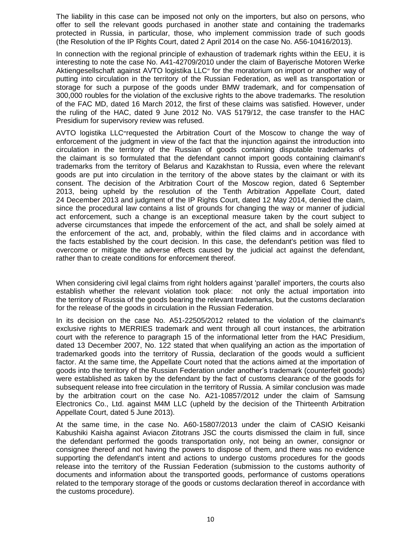The liability in this case can be imposed not only on the importers, but also on persons, who offer to sell the relevant goods purchased in another state and containing the trademarks protected in Russia, in particular, those, who implement commission trade of such goods (the Resolution of the IP Rights Court, dated 2 April 2014 on the case No. A56-10416/2013).

In connection with the regional principle of exhaustion of trademark rights within the EEU, it is interesting to note the case No. A41-42709/2010 under the claim of Bayerische Motoren Werke Aktiengesellschaft against AVTO logistika LLC" for the moratorium on import or another way of putting into circulation in the territory of the Russian Federation, as well as transportation or storage for such a purpose of the goods under BMW trademark, and for compensation of 300,000 roubles for the violation of the exclusive rights to the above trademarks. The resolution of the FAC MD, dated 16 March 2012, the first of these claims was satisfied. However, under the ruling of the HAC, dated 9 June 2012 No. VAS 5179/12, the case transfer to the HAC Presidium for supervisory review was refused.

AVTO logistika LLC requested the Arbitration Court of the Moscow to change the way of enforcement of the judgment in view of the fact that the injunction against the introduction into circulation in the territory of the Russian of goods containing disputable trademarks of the claimant is so formulated that the defendant cannot import goods containing claimant's trademarks from the territory of Belarus and Kazakhstan to Russia, even where the relevant goods are put into circulation in the territory of the above states by the claimant or with its consent. The decision of the Arbitration Court of the Moscow region, dated 6 September 2013, being upheld by the resolution of the Tenth Arbitration Appellate Court, dated 24 December 2013 and judgment of the IP Rights Court, dated 12 May 2014, denied the claim, since the procedural law contains a list of grounds for changing the way or manner of judicial act enforcement, such a change is an exceptional measure taken by the court subject to adverse circumstances that impede the enforcement of the act, and shall be solely aimed at the enforcement of the act, and, probably, within the filed claims and in accordance with the facts established by the court decision. In this case, the defendant's petition was filed to overcome or mitigate the adverse effects caused by the judicial act against the defendant, rather than to create conditions for enforcement thereof.

When considering civil legal claims from right holders against 'parallel' importers, the courts also establish whether the relevant violation took place: not only the actual importation into the territory of Russia of the goods bearing the relevant trademarks, but the customs declaration for the release of the goods in circulation in the Russian Federation.

In its decision on the case No. A51-22505/2012 related to the violation of the claimant's exclusive rights to MERRIES trademark and went through all court instances, the arbitration court with the reference to paragraph 15 of the informational letter from the HAC Presidium, dated 13 December 2007, No. 122 stated that when qualifying an action as the importation of trademarked goods into the territory of Russia, declaration of the goods would a sufficient factor. At the same time, the Appellate Court noted that the actions aimed at the importation of goods into the territory of the Russian Federation under another's trademark (counterfeit goods) were established as taken by the defendant by the fact of customs clearance of the goods for subsequent release into free circulation in the territory of Russia. A similar conclusion was made by the arbitration court on the case No. A21-10857/2012 under the claim of Samsung Electronics Co., Ltd. against M4M LLC (upheld by the decision of the Thirteenth Arbitration Appellate Court, dated 5 June 2013).

At the same time, in the case No. A60-15807/2013 under the claim of CASIO Keisanki Kabushiki Kaisha against Aviacon Zitotrans JSC the courts dismissed the claim in full, since the defendant performed the goods transportation only, not being an owner, consignor or consignee thereof and not having the powers to dispose of them, and there was no evidence supporting the defendant's intent and actions to undergo customs procedures for the goods release into the territory of the Russian Federation (submission to the customs authority of documents and information about the transported goods, performance of customs operations related to the temporary storage of the goods or customs declaration thereof in accordance with the customs procedure).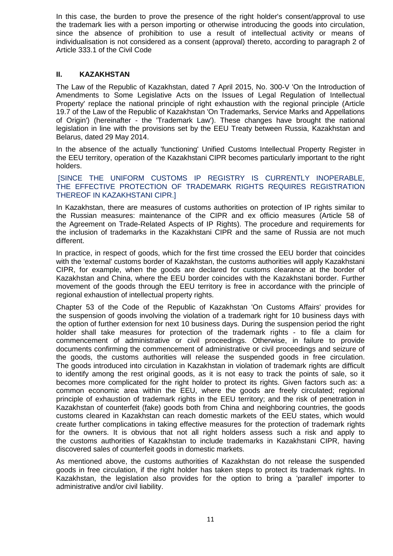In this case, the burden to prove the presence of the right holder's consent/approval to use the trademark lies with a person importing or otherwise introducing the goods into circulation, since the absence of prohibition to use a result of intellectual activity or means of individualisation is not considered as a consent (approval) thereto, according to paragraph 2 of Article 333.1 of the Civil Code

#### <span id="page-10-0"></span>**II. KAZAKHSTAN**

The Law of the Republic of Kazakhstan, dated 7 April 2015, No. 300-V 'On the Introduction of Amendments to Some Legislative Acts on the Issues of Legal Regulation of Intellectual Property' replace the national principle of right exhaustion with the regional principle (Article 19.7 of the Law of the Republic of Kazakhstan 'On Trademarks, Service Marks and Appellations of Origin') (hereinafter - the 'Trademark Law'). These changes have brought the national legislation in line with the provisions set by the EEU Treaty between Russia, Kazakhstan and Belarus, dated 29 May 2014.

In the absence of the actually 'functioning' Unified Customs Intellectual Property Register in the EEU territory, operation of the Kazakhstani CIPR becomes particularly important to the right holders.

#### [SINCE THE UNIFORM CUSTOMS IP REGISTRY IS CURRENTLY INOPERABLE, THE EFFECTIVE PROTECTION OF TRADEMARK RIGHTS REQUIRES REGISTRATION THEREOF IN KAZAKHSTANI CIPR.]

In Kazakhstan, there are measures of customs authorities on protection of IP rights similar to the Russian measures: maintenance of the CIPR and ex officio measures (Article 58 of the Agreement on Trade-Related Aspects of IP Rights). The procedure and requirements for the inclusion of trademarks in the Kazakhstani CIPR and the same of Russia are not much different.

In practice, in respect of goods, which for the first time crossed the EEU border that coincides with the 'external' customs border of Kazakhstan, the customs authorities will apply Kazakhstani CIPR, for example, when the goods are declared for customs clearance at the border of Kazakhstan and China, where the EEU border coincides with the Kazakhstani border. Further movement of the goods through the EEU territory is free in accordance with the principle of regional exhaustion of intellectual property rights.

Chapter 53 of the Code of the Republic of Kazakhstan 'On Customs Affairs' provides for the suspension of goods involving the violation of a trademark right for 10 business days with the option of further extension for next 10 business days. During the suspension period the right holder shall take measures for protection of the trademark rights - to file a claim for commencement of administrative or civil proceedings. Otherwise, in failure to provide documents confirming the commencement of administrative or civil proceedings and seizure of the goods, the customs authorities will release the suspended goods in free circulation. The goods introduced into circulation in Kazakhstan in violation of trademark rights are difficult to identify among the rest original goods, as it is not easy to track the points of sale, so it becomes more complicated for the right holder to protect its rights. Given factors such as: a common economic area within the EEU, where the goods are freely circulated; regional principle of exhaustion of trademark rights in the EEU territory; and the risk of penetration in Kazakhstan of counterfeit (fake) goods both from China and neighboring countries, the goods customs cleared in Kazakhstan can reach domestic markets of the EEU states, which would create further complications in taking effective measures for the protection of trademark rights for the owners. It is obvious that not all right holders assess such a risk and apply to the customs authorities of Kazakhstan to include trademarks in Kazakhstani CIPR, having discovered sales of counterfeit goods in domestic markets.

As mentioned above, the customs authorities of Kazakhstan do not release the suspended goods in free circulation, if the right holder has taken steps to protect its trademark rights. In Kazakhstan, the legislation also provides for the option to bring a 'parallel' importer to administrative and/or civil liability.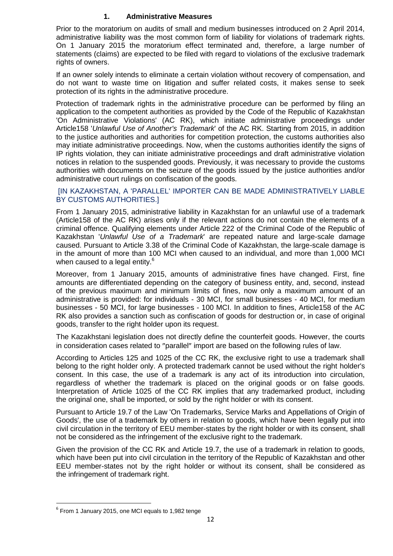#### **1. Administrative Measures**

<span id="page-11-0"></span>Prior to the moratorium on audits of small and medium businesses introduced on 2 April 2014, administrative liability was the most common form of liability for violations of trademark rights. On 1 January 2015 the moratorium effect terminated and, therefore, a large number of statements (claims) are expected to be filed with regard to violations of the exclusive trademark rights of owners.

If an owner solely intends to eliminate a certain violation without recovery of compensation, and do not want to waste time on litigation and suffer related costs, it makes sense to seek protection of its rights in the administrative procedure.

Protection of trademark rights in the administrative procedure can be performed by filing an application to the competent authorities as provided by the Code of the Republic of Kazakhstan 'On Administrative Violations' (AC RK), which initiate administrative proceedings under Article158 '*Unlawful Use of Another's Trademark*' of the AC RK. Starting from 2015, in addition to the justice authorities and authorities for competition protection, the customs authorities also may initiate administrative proceedings. Now, when the customs authorities identify the signs of IP rights violation, they can initiate administrative proceedings and draft administrative violation notices in relation to the suspended goods. Previously, it was necessary to provide the customs authorities with documents on the seizure of the goods issued by the justice authorities and/or administrative court rulings on confiscation of the goods.

#### [IN KAZAKHSTAN, A 'PARALLEL' IMPORTER CAN BE MADE ADMINISTRATIVELY LIABLE BY CUSTOMS AUTHORITIES.]

From 1 January 2015, administrative liability in Kazakhstan for an unlawful use of a trademark (Article158 of the AC RK) arises only if the relevant actions do not contain the elements of a criminal offence. Qualifying elements under Article 222 of the Criminal Code of the Republic of Kazakhstan '*Unlawful Use of a Trademark*' are repeated nature and large-scale damage caused. Pursuant to Article 3.38 of the Criminal Code of Kazakhstan, the large-scale damage is in the amount of more than 100 MCI when caused to an individual, and more than 1,000 MCI when caused to a legal entity.<sup>6</sup>

Moreover, from 1 January 2015, amounts of administrative fines have changed. First, fine amounts are differentiated depending on the category of business entity, and, second, instead of the previous maximum and minimum limits of fines, now only a maximum amount of an administrative is provided: for individuals - 30 MCI, for small businesses - 40 MCI, for medium businesses - 50 MCI, for large businesses - 100 MCI. In addition to fines, Article158 of the AC RK also provides a sanction such as confiscation of goods for destruction or, in case of original goods, transfer to the right holder upon its request.

The Kazakhstani legislation does not directly define the counterfeit goods. However, the courts in consideration cases related to "parallel" import are based on the following rules of law.

According to Articles 125 and 1025 of the CC RK, the exclusive right to use a trademark shall belong to the right holder only. A protected trademark cannot be used without the right holder's consent. In this case, the use of a trademark is any act of its introduction into circulation, regardless of whether the trademark is placed on the original goods or on false goods. Interpretation of Article 1025 of the CC RK implies that any trademarked product, including the original one, shall be imported, or sold by the right holder or with its consent.

Pursuant to Article 19.7 of the Law 'On Trademarks, Service Marks and Appellations of Origin of Goods', the use of a trademark by others in relation to goods, which have been legally put into civil circulation in the territory of EEU member-states by the right holder or with its consent, shall not be considered as the infringement of the exclusive right to the trademark.

Given the provision of the CC RK and Article 19.7, the use of a trademark in relation to goods, which have been put into civil circulation in the territory of the Republic of Kazakhstan and other EEU member-states not by the right holder or without its consent, shall be considered as the infringement of trademark right.

**.** 

 $<sup>6</sup>$  From 1 January 2015, one MCI equals to 1,982 tenge</sup>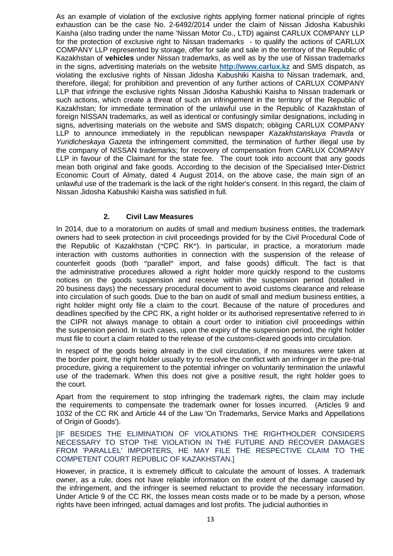As an example of violation of the exclusive rights applying former national principle of rights exhaustion can be the case No. 2-6492/2014 under the claim of Nissan Jidosha Kabushiki Kaisha (also trading under the name 'Nissan Motor Co., LTD) against CARLUX COMPANY LLP for the protection of exclusive right to Nissan trademarks - to qualify the actions of CARLUX COMPANY LLP represented by storage, offer for sale and sale in the territory of the Republic of Kazakhstan of **vehicles** under Nissan trademarks, as well as by the use of Nissan trademarks in the signs, advertising materials on the website **[http://www.carlux.kz](http://www.carlux.kz/)** and SMS dispatch, as violating the exclusive rights of Nissan Jidosha Kabushiki Kaisha to Nissan trademark, and, therefore, illegal; for prohibition and prevention of any further actions of CARLUX COMPANY LLP that infringe the exclusive rights Nissan Jidosha Kabushiki Kaisha to Nissan trademark or such actions, which create a threat of such an infringement in the territory of the Republic of Kazakhstan; for immediate termination of the unlawful use in the Republic of Kazakhstan of foreign NISSAN trademarks, as well as identical or confusingly similar designations, including in signs, advertising materials on the website and SMS dispatch; obliging CARLUX COMPANY LLP to announce immediately in the republican newspaper *Kazakhstanskaya Pravda* or *Yuridicheskaya Gazeta* the infringement committed, the termination of further illegal use by the company of NISSAN trademarks; for recovery of compensation from CARLUX COMPANY LLP in favour of the Claimant for the state fee. The court took into account that any goods mean both original and fake goods. According to the decision of the Specialised Inter-District Economic Court of Almaty, dated 4 August 2014, on the above case, the main sign of an unlawful use of the trademark is the lack of the right holder's consent. In this regard, the claim of Nissan Jidosha Kabushiki Kaisha was satisfied in full.

## **2. Civil Law Measures**

<span id="page-12-0"></span>In 2014, due to a moratorium on audits of small and medium business entities, the trademark owners had to seek protection in civil proceedings provided for by the Civil Procedural Code of the Republic of Kazakhstan ("CPC RK"). In particular, in practice, a moratorium made interaction with customs authorities in connection with the suspension of the release of counterfeit goods (both "parallel" import, and false goods) difficult. The fact is that the administrative procedures allowed a right holder more quickly respond to the customs notices on the goods suspension and receive within the suspension period (totalled in 20 business days) the necessary procedural document to avoid customs clearance and release into circulation of such goods. Due to the ban on audit of small and medium business entities, a right holder might only file a claim to the court. Because of the nature of procedures and deadlines specified by the CPC RK, a right holder or its authorised representative referred to in the CIPR not always manage to obtain a court order to initiation civil proceedings within the suspension period. In such cases, upon the expiry of the suspension period, the right holder must file to court a claim related to the release of the customs-cleared goods into circulation.

In respect of the goods being already in the civil circulation, if no measures were taken at the border point, the right holder usually try to resolve the conflict with an infringer in the pre-trial procedure, giving a requirement to the potential infringer on voluntarily termination the unlawful use of the trademark. When this does not give a positive result, the right holder goes to the court.

Apart from the requirement to stop infringing the trademark rights, the claim may include the requirements to compensate the trademark owner for losses incurred. (Articles 9 and 1032 of the CC RK and Article 44 of the Law 'On Trademarks, Service Marks and Appellations of Origin of Goods').

[IF BESIDES THE ELIMINATION OF VIOLATIONS THE RIGHTHOLDER CONSIDERS NECESSARY TO STOP THE VIOLATION IN THE FUTURE AND RECOVER DAMAGES FROM 'PARALLEL' IMPORTERS, HE MAY FILE THE RESPECTIVE CLAIM TO THE COMPETENT COURT REPUBLIC OF KAZAKHSTAN.]

However, in practice, it is extremely difficult to calculate the amount of losses. A trademark owner, as a rule, does not have reliable information on the extent of the damage caused by the infringement, and the infringer is seemed reluctant to provide the necessary information. Under Article 9 of the CC RK, the losses mean costs made or to be made by a person, whose rights have been infringed, actual damages and lost profits. The judicial authorities in